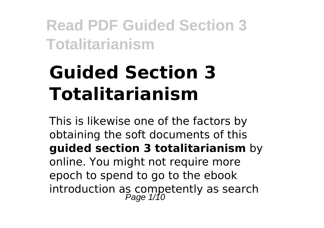# **Guided Section 3 Totalitarianism**

This is likewise one of the factors by obtaining the soft documents of this **guided section 3 totalitarianism** by online. You might not require more epoch to spend to go to the ebook introduction as competently as search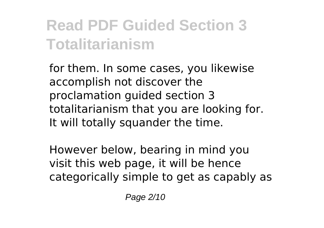for them. In some cases, you likewise accomplish not discover the proclamation guided section 3 totalitarianism that you are looking for. It will totally squander the time.

However below, bearing in mind you visit this web page, it will be hence categorically simple to get as capably as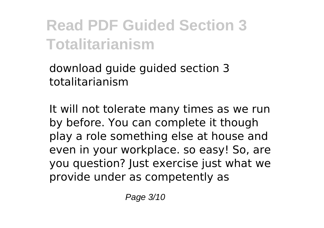download guide guided section 3 totalitarianism

It will not tolerate many times as we run by before. You can complete it though play a role something else at house and even in your workplace. so easy! So, are you question? Just exercise just what we provide under as competently as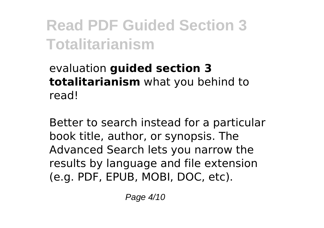### evaluation **guided section 3 totalitarianism** what you behind to read!

Better to search instead for a particular book title, author, or synopsis. The Advanced Search lets you narrow the results by language and file extension (e.g. PDF, EPUB, MOBI, DOC, etc).

Page 4/10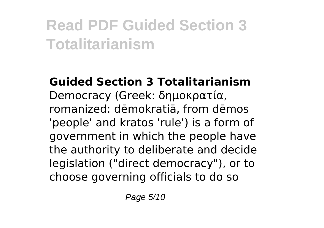**Guided Section 3 Totalitarianism** Democracy (Greek: δημοκρατία, romanized: dēmokratiā, from dēmos 'people' and kratos 'rule') is a form of government in which the people have the authority to deliberate and decide legislation ("direct democracy"), or to choose governing officials to do so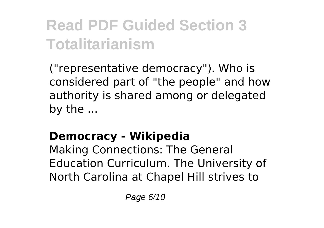("representative democracy"). Who is considered part of "the people" and how authority is shared among or delegated by the ...

### **Democracy - Wikipedia**

Making Connections: The General Education Curriculum. The University of North Carolina at Chapel Hill strives to

Page 6/10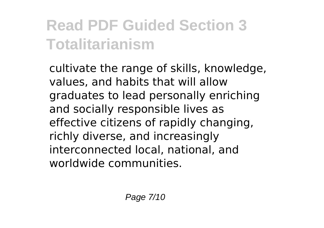cultivate the range of skills, knowledge, values, and habits that will allow graduates to lead personally enriching and socially responsible lives as effective citizens of rapidly changing, richly diverse, and increasingly interconnected local, national, and worldwide communities.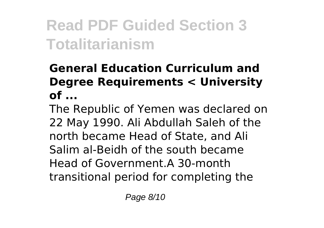### **General Education Curriculum and Degree Requirements < University of ...**

The Republic of Yemen was declared on 22 May 1990. Ali Abdullah Saleh of the north became Head of State, and Ali Salim al-Beidh of the south became Head of Government.A 30-month transitional period for completing the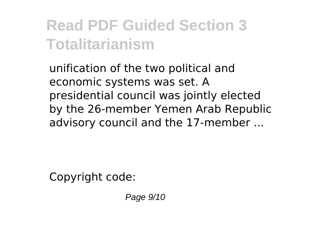unification of the two political and economic systems was set. A presidential council was jointly elected by the 26-member Yemen Arab Republic advisory council and the 17-member ...

Copyright code:

Page 9/10